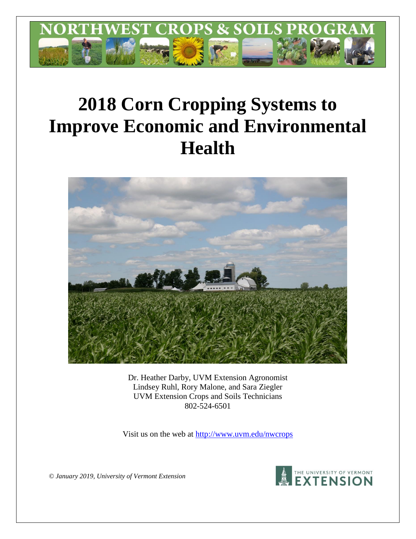

# **2018 Corn Cropping Systems to Improve Economic and Environmental Health**



Dr. Heather Darby, UVM Extension Agronomist Lindsey Ruhl, Rory Malone, and Sara Ziegler UVM Extension Crops and Soils Technicians 802-524-6501

Visit us on the web at<http://www.uvm.edu/nwcrops>



*© January 2019, University of Vermont Extension*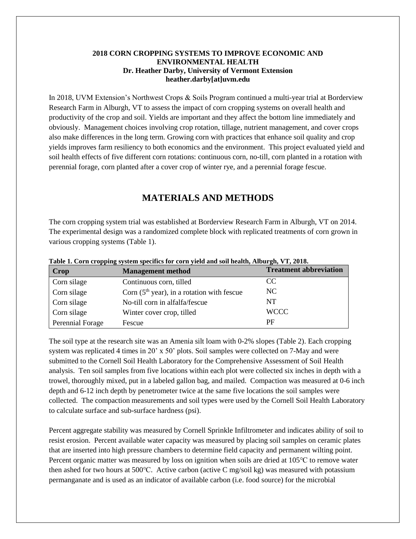#### **2018 CORN CROPPING SYSTEMS TO IMPROVE ECONOMIC AND ENVIRONMENTAL HEALTH Dr. Heather Darby, University of Vermont Extension heather.darby[at]uvm.edu**

In 2018, UVM Extension's Northwest Crops & Soils Program continued a multi-year trial at Borderview Research Farm in Alburgh, VT to assess the impact of corn cropping systems on overall health and productivity of the crop and soil. Yields are important and they affect the bottom line immediately and obviously. Management choices involving crop rotation, tillage, nutrient management, and cover crops also make differences in the long term. Growing corn with practices that enhance soil quality and crop yields improves farm resiliency to both economics and the environment. This project evaluated yield and soil health effects of five different corn rotations: continuous corn, no-till, corn planted in a rotation with perennial forage, corn planted after a cover crop of winter rye, and a perennial forage fescue.

# **MATERIALS AND METHODS**

The corn cropping system trial was established at Borderview Research Farm in Alburgh, VT on 2014. The experimental design was a randomized complete block with replicated treatments of corn grown in various cropping systems (Table 1).

| <b>Crop</b>      | <b>Management method</b>                     | <b>Treatment abbreviation</b> |
|------------------|----------------------------------------------|-------------------------------|
| Corn silage      | Continuous corn, tilled                      | CC.                           |
| Corn silage      | Corn $(5th$ year), in a rotation with fescue | NC.                           |
| Corn silage      | No-till corn in alfalfa/fescue               | NT                            |
| Corn silage      | Winter cover crop, tilled                    | <b>WCCC</b>                   |
| Perennial Forage | Fescue                                       | РF                            |

**Table 1. Corn cropping system specifics for corn yield and soil health, Alburgh, VT, 2018.**

The soil type at the research site was an Amenia silt loam with 0-2% slopes (Table 2). Each cropping system was replicated 4 times in 20' x 50' plots. Soil samples were collected on 7-May and were submitted to the Cornell Soil Health Laboratory for the Comprehensive Assessment of Soil Health analysis. Ten soil samples from five locations within each plot were collected six inches in depth with a trowel, thoroughly mixed, put in a labeled gallon bag, and mailed. Compaction was measured at 0-6 inch depth and 6-12 inch depth by penetrometer twice at the same five locations the soil samples were collected. The compaction measurements and soil types were used by the Cornell Soil Health Laboratory to calculate surface and sub-surface hardness (psi).

Percent aggregate stability was measured by Cornell Sprinkle Infiltrometer and indicates ability of soil to resist erosion. Percent available water capacity was measured by placing soil samples on ceramic plates that are inserted into high pressure chambers to determine field capacity and permanent wilting point. Percent organic matter was measured by loss on ignition when soils are dried at 105℃ to remove water then ashed for two hours at 500℃. Active carbon (active C mg/soil kg) was measured with potassium permanganate and is used as an indicator of available carbon (i.e. food source) for the microbial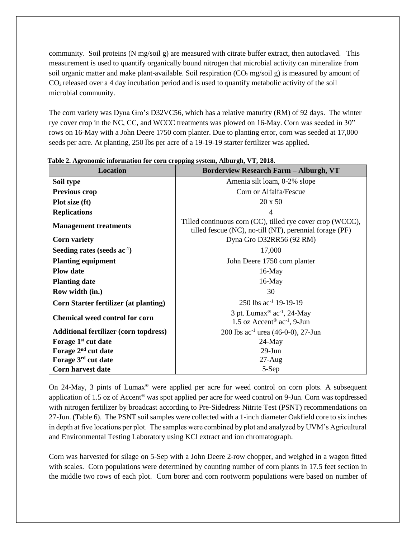community. Soil proteins (N mg/soil g) are measured with citrate buffer extract, then autoclaved. This measurement is used to quantify organically bound nitrogen that microbial activity can mineralize from soil organic matter and make plant-available. Soil respiration  $(CO_2 \text{ mg/soil g})$  is measured by amount of CO2 released over a 4 day incubation period and is used to quantify metabolic activity of the soil microbial community.

The corn variety was Dyna Gro's D32VC56, which has a relative maturity (RM) of 92 days. The winter rye cover crop in the NC, CC, and WCCC treatments was plowed on 16-May. Corn was seeded in 30" rows on 16-May with a John Deere 1750 corn planter. Due to planting error, corn was seeded at 17,000 seeds per acre. At planting, 250 lbs per acre of a 19-19-19 starter fertilizer was applied.

| <b>Location</b>                              | <b>Borderview Research Farm - Alburgh, VT</b>                                                                         |  |  |  |  |
|----------------------------------------------|-----------------------------------------------------------------------------------------------------------------------|--|--|--|--|
| Soil type                                    | Amenia silt loam, 0-2% slope                                                                                          |  |  |  |  |
| <b>Previous crop</b>                         | Corn or Alfalfa/Fescue                                                                                                |  |  |  |  |
| Plot size (ft)                               | $20 \times 50$                                                                                                        |  |  |  |  |
| <b>Replications</b>                          | 4                                                                                                                     |  |  |  |  |
| <b>Management treatments</b>                 | Tilled continuous corn (CC), tilled rye cover crop (WCCC),<br>tilled fescue (NC), no-till (NT), perennial forage (PF) |  |  |  |  |
| <b>Corn variety</b>                          | Dyna Gro D32RR56 (92 RM)                                                                                              |  |  |  |  |
| Seeding rates (seeds $ac^{-1}$ )             | 17,000                                                                                                                |  |  |  |  |
| <b>Planting equipment</b>                    | John Deere 1750 corn planter                                                                                          |  |  |  |  |
| <b>Plow</b> date                             | $16$ -May                                                                                                             |  |  |  |  |
| <b>Planting date</b>                         | $16$ -May                                                                                                             |  |  |  |  |
| Row width (in.)                              | 30                                                                                                                    |  |  |  |  |
| <b>Corn Starter fertilizer (at planting)</b> | 250 lbs $ac^{-1}$ 19-19-19                                                                                            |  |  |  |  |
| <b>Chemical weed control for corn</b>        | 3 pt. Lumax <sup>®</sup> ac <sup>-1</sup> , 24-May<br>1.5 oz Accent <sup>®</sup> $ac^{-1}$ , 9-Jun                    |  |  |  |  |
| <b>Additional fertilizer (corn topdress)</b> | 200 lbs $ac^{-1}$ urea (46-0-0), 27-Jun                                                                               |  |  |  |  |
| Forage 1 <sup>st</sup> cut date              | $24$ -May                                                                                                             |  |  |  |  |
| Forage 2 <sup>nd</sup> cut date              | $29$ -Jun                                                                                                             |  |  |  |  |
| Forage 3rd cut date                          | $27$ -Aug                                                                                                             |  |  |  |  |
| <b>Corn harvest date</b>                     | 5-Sep                                                                                                                 |  |  |  |  |

**Table 2. Agronomic information for corn cropping system, Alburgh, VT, 2018.**

On 24-May, 3 pints of Lumax® were applied per acre for weed control on corn plots. A subsequent application of 1.5 oz of Accent® was spot applied per acre for weed control on 9-Jun. Corn was topdressed with nitrogen fertilizer by broadcast according to Pre-Sidedress Nitrite Test (PSNT) recommendations on 27-Jun. (Table 6). The PSNT soil samples were collected with a 1-inch diameter Oakfield core to six inches in depth at five locations per plot. The samples were combined by plot and analyzed by UVM's Agricultural and Environmental Testing Laboratory using KCl extract and ion chromatograph.

Corn was harvested for silage on 5-Sep with a John Deere 2-row chopper, and weighed in a wagon fitted with scales. Corn populations were determined by counting number of corn plants in 17.5 feet section in the middle two rows of each plot. Corn borer and corn rootworm populations were based on number of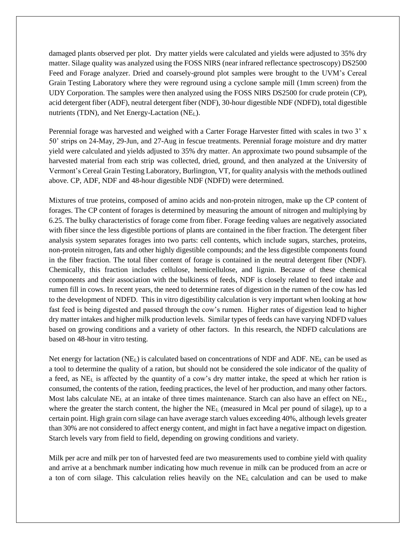damaged plants observed per plot. Dry matter yields were calculated and yields were adjusted to 35% dry matter. Silage quality was analyzed using the FOSS NIRS (near infrared reflectance spectroscopy) DS2500 Feed and Forage analyzer. Dried and coarsely-ground plot samples were brought to the UVM's Cereal Grain Testing Laboratory where they were reground using a cyclone sample mill (1mm screen) from the UDY Corporation. The samples were then analyzed using the FOSS NIRS DS2500 for crude protein (CP), acid detergent fiber (ADF), neutral detergent fiber (NDF), 30-hour digestible NDF (NDFD), total digestible nutrients (TDN), and Net Energy-Lactation (NEL).

Perennial forage was harvested and weighed with a Carter Forage Harvester fitted with scales in two 3' x 50' strips on 24-May, 29-Jun, and 27-Aug in fescue treatments. Perennial forage moisture and dry matter yield were calculated and yields adjusted to 35% dry matter. An approximate two pound subsample of the harvested material from each strip was collected, dried, ground, and then analyzed at the University of Vermont's Cereal Grain Testing Laboratory, Burlington, VT, for quality analysis with the methods outlined above. CP, ADF, NDF and 48-hour digestible NDF (NDFD) were determined.

Mixtures of true proteins, composed of amino acids and non-protein nitrogen, make up the CP content of forages. The CP content of forages is determined by measuring the amount of nitrogen and multiplying by 6.25. The bulky characteristics of forage come from fiber. Forage feeding values are negatively associated with fiber since the less digestible portions of plants are contained in the fiber fraction. The detergent fiber analysis system separates forages into two parts: cell contents, which include sugars, starches, proteins, non-protein nitrogen, fats and other highly digestible compounds; and the less digestible components found in the fiber fraction. The total fiber content of forage is contained in the neutral detergent fiber (NDF). Chemically, this fraction includes cellulose, hemicellulose, and lignin. Because of these chemical components and their association with the bulkiness of feeds, NDF is closely related to feed intake and rumen fill in cows. In recent years, the need to determine rates of digestion in the rumen of the cow has led to the development of NDFD. This in vitro digestibility calculation is very important when looking at how fast feed is being digested and passed through the cow's rumen. Higher rates of digestion lead to higher dry matter intakes and higher milk production levels. Similar types of feeds can have varying NDFD values based on growing conditions and a variety of other factors. In this research, the NDFD calculations are based on 48-hour in vitro testing.

Net energy for lactation (NEL) is calculated based on concentrations of NDF and ADF. NE<sup>L</sup> can be used as a tool to determine the quality of a ration, but should not be considered the sole indicator of the quality of a feed, as NE<sup>L</sup> is affected by the quantity of a cow's dry matter intake, the speed at which her ration is consumed, the contents of the ration, feeding practices, the level of her production, and many other factors. Most labs calculate NE<sub>L</sub> at an intake of three times maintenance. Starch can also have an effect on NE<sub>L</sub>, where the greater the starch content, the higher the  $NE<sub>L</sub>$  (measured in Mcal per pound of silage), up to a certain point. High grain corn silage can have average starch values exceeding 40%, although levels greater than 30% are not considered to affect energy content, and might in fact have a negative impact on digestion. Starch levels vary from field to field, depending on growing conditions and variety.

Milk per acre and milk per ton of harvested feed are two measurements used to combine yield with quality and arrive at a benchmark number indicating how much revenue in milk can be produced from an acre or a ton of corn silage. This calculation relies heavily on the NE<sup>L</sup> calculation and can be used to make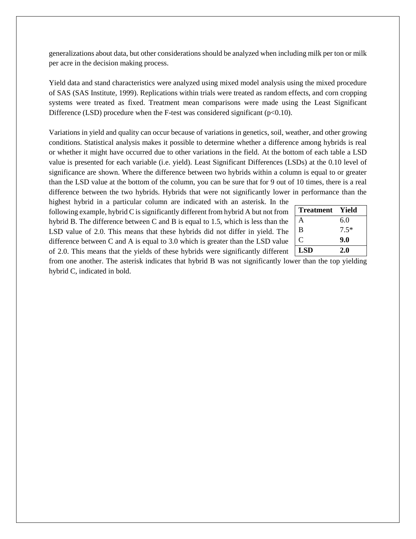generalizations about data, but other considerations should be analyzed when including milk per ton or milk per acre in the decision making process.

Yield data and stand characteristics were analyzed using mixed model analysis using the mixed procedure of SAS (SAS Institute, 1999). Replications within trials were treated as random effects, and corn cropping systems were treated as fixed. Treatment mean comparisons were made using the Least Significant Difference (LSD) procedure when the F-test was considered significant ( $p<0.10$ ).

Variations in yield and quality can occur because of variations in genetics, soil, weather, and other growing conditions. Statistical analysis makes it possible to determine whether a difference among hybrids is real or whether it might have occurred due to other variations in the field. At the bottom of each table a LSD value is presented for each variable (i.e. yield). Least Significant Differences (LSDs) at the 0.10 level of significance are shown. Where the difference between two hybrids within a column is equal to or greater than the LSD value at the bottom of the column, you can be sure that for 9 out of 10 times, there is a real difference between the two hybrids. Hybrids that were not significantly lower in performance than the

highest hybrid in a particular column are indicated with an asterisk. In the following example, hybrid C is significantly different from hybrid A but not from hybrid B. The difference between C and B is equal to 1.5, which is less than the LSD value of 2.0. This means that these hybrids did not differ in yield. The difference between C and A is equal to 3.0 which is greater than the LSD value of 2.0. This means that the yields of these hybrids were significantly different

| <b>Treatment</b> | - Yield |
|------------------|---------|
| A                | 6.0     |
| B                | $7.5*$  |
| C                | 9.0     |
| <b>LSD</b>       | 2.0     |

from one another. The asterisk indicates that hybrid B was not significantly lower than the top yielding hybrid C, indicated in bold.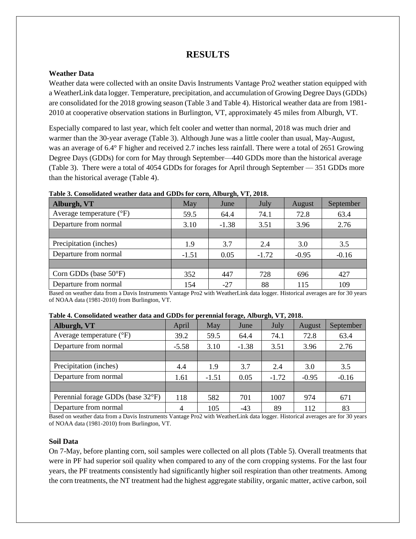# **RESULTS**

#### **Weather Data**

Weather data were collected with an onsite Davis Instruments Vantage Pro2 weather station equipped with a WeatherLink data logger. Temperature, precipitation, and accumulation of Growing Degree Days (GDDs) are consolidated for the 2018 growing season (Table 3 and Table 4). Historical weather data are from 1981- 2010 at cooperative observation stations in Burlington, VT, approximately 45 miles from Alburgh, VT.

Especially compared to last year, which felt cooler and wetter than normal, 2018 was much drier and warmer than the 30-year average (Table 3). Although June was a little cooler than usual, May-August, was an average of 6.4° F higher and received 2.7 inches less rainfall. There were a total of 2651 Growing Degree Days (GDDs) for corn for May through September—440 GDDs more than the historical average (Table 3). There were a total of 4054 GDDs for forages for April through September — 351 GDDs more than the historical average (Table 4).

| Alburgh, VT                       | May     | June    | July    | August  | September |
|-----------------------------------|---------|---------|---------|---------|-----------|
| Average temperature $(^{\circ}F)$ | 59.5    | 64.4    | 74.1    | 72.8    | 63.4      |
| Departure from normal             | 3.10    | $-1.38$ | 3.51    | 3.96    | 2.76      |
|                                   |         |         |         |         |           |
| Precipitation (inches)            | 1.9     | 3.7     | 2.4     | 3.0     | 3.5       |
| Departure from normal             | $-1.51$ | 0.05    | $-1.72$ | $-0.95$ | $-0.16$   |
|                                   |         |         |         |         |           |
| Corn GDDs (base $50^{\circ}F$ )   | 352     | 447     | 728     | 696     | 427       |
| Departure from normal             | 154     | $-27$   | 88      | 115     | 109       |

**Table 3. Consolidated weather data and GDDs for corn, Alburgh, VT, 2018.**

Based on weather data from a Davis Instruments Vantage Pro2 with WeatherLink data logger. Historical averages are for 30 years of NOAA data (1981-2010) from Burlington, VT.

| Table 4. Consolidated weather data and GDDs for perennial forage, Alburgh, VT, 2018. |  |  |  |  |
|--------------------------------------------------------------------------------------|--|--|--|--|
|                                                                                      |  |  |  |  |

| Alburgh, VT                       | April   | May     | $\sim$<br>June | $\sim$<br>July | <b>August</b> | September |
|-----------------------------------|---------|---------|----------------|----------------|---------------|-----------|
| Average temperature $(^{\circ}F)$ | 39.2    | 59.5    | 64.4           | 74.1           | 72.8          | 63.4      |
| Departure from normal             | $-5.58$ | 3.10    | $-1.38$        | 3.51           | 3.96          | 2.76      |
|                                   |         |         |                |                |               |           |
| Precipitation (inches)            | 4.4     | 1.9     | 3.7            | 2.4            | 3.0           | 3.5       |
| Departure from normal             | 1.61    | $-1.51$ | 0.05           | $-1.72$        | $-0.95$       | $-0.16$   |
|                                   |         |         |                |                |               |           |
| Perennial forage GDDs (base 32°F) | 118     | 582     | 701            | 1007           | 974           | 671       |
| Departure from normal             |         | 105     | $-43$          | 89             | 112           | 83        |

Based on weather data from a Davis Instruments Vantage Pro2 with WeatherLink data logger. Historical averages are for 30 years of NOAA data (1981-2010) from Burlington, VT.

#### **Soil Data**

On 7-May, before planting corn, soil samples were collected on all plots (Table 5). Overall treatments that were in PF had superior soil quality when compared to any of the corn cropping systems. For the last four years, the PF treatments consistently had significantly higher soil respiration than other treatments. Among the corn treatments, the NT treatment had the highest aggregate stability, organic matter, active carbon, soil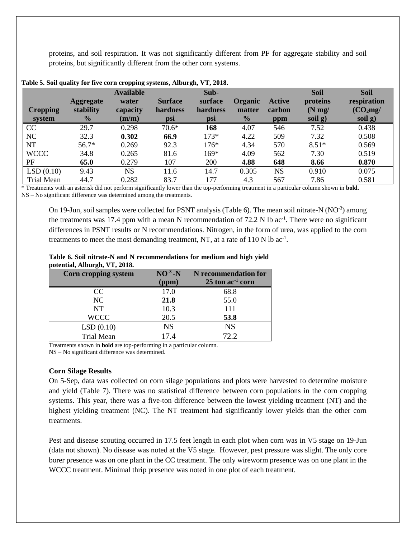proteins, and soil respiration. It was not significantly different from PF for aggregate stability and soil proteins, but significantly different from the other corn systems.

|                           |                                                | <b>Available</b>           |                                   | Sub-                       |                                    |                                | <b>Soil</b>                        | <b>Soil</b>                                    |
|---------------------------|------------------------------------------------|----------------------------|-----------------------------------|----------------------------|------------------------------------|--------------------------------|------------------------------------|------------------------------------------------|
| <b>Cropping</b><br>system | <b>Aggregate</b><br>stability<br>$\frac{0}{0}$ | water<br>capacity<br>(m/m) | <b>Surface</b><br>hardness<br>psi | surface<br>hardness<br>psi | Organic<br>matter<br>$\frac{0}{0}$ | <b>Active</b><br>carbon<br>ppm | proteins<br>$(N \, mg)$<br>soil g) | respiration<br>(CO <sub>2</sub> mg)<br>soil g) |
| CC                        | 29.7                                           | 0.298                      | $70.6*$                           | 168                        | 4.07                               | 546                            | 7.52                               | 0.438                                          |
| NC                        | 32.3                                           | 0.302                      | 66.9                              | $173*$                     | 4.22                               | 509                            | 7.32                               | 0.508                                          |
| NT                        | $56.7*$                                        | 0.269                      | 92.3                              | $176*$                     | 4.34                               | 570                            | $8.51*$                            | 0.569                                          |
| <b>WCCC</b>               | 34.8                                           | 0.265                      | 81.6                              | $169*$                     | 4.09                               | 562                            | 7.30                               | 0.519                                          |
| PF                        | 65.0                                           | 0.279                      | 107                               | 200                        | 4.88                               | 648                            | 8.66                               | 0.870                                          |
| LSD(0.10)                 | 9.43                                           | <b>NS</b>                  | 11.6                              | 14.7                       | 0.305                              | <b>NS</b>                      | 0.910                              | 0.075                                          |
| <b>Trial Mean</b>         | 44.7                                           | 0.282                      | 83.7                              | 177                        | 4.3                                | 567                            | 7.86                               | 0.581                                          |

**Table 5. Soil quality for five corn cropping systems, Alburgh, VT, 2018.**

\* Treatments with an asterisk did not perform significantly lower than the top-performing treatment in a particular column shown in **bold.**

NS – No significant difference was determined among the treatments.

On 19-Jun, soil samples were collected for PSNT analysis (Table 6). The mean soil nitrate-N (NO<sup>-3</sup>) among the treatments was 17.4 ppm with a mean N recommendation of  $72.2$  N lb ac<sup>-1</sup>. There were no significant differences in PSNT results or N recommendations. Nitrogen, in the form of urea, was applied to the corn treatments to meet the most demanding treatment, NT, at a rate of  $110 \text{ N}$  lb ac<sup>-1</sup>.

#### **Table 6. Soil nitrate-N and N recommendations for medium and high yield potential, Alburgh, VT, 2018.**

| <b>Corn cropping system</b> | $NO^{-3}$ -N | N recommendation for           |
|-----------------------------|--------------|--------------------------------|
|                             | (ppm)        | $25$ ton ac <sup>-1</sup> corn |
| CC                          | 17.0         | 68.8                           |
| NC                          | 21.8         | 55.0                           |
| NT                          | 10.3         | 111                            |
| <b>WCCC</b>                 | 20.5         | 53.8                           |
| LSD(0.10)                   | <b>NS</b>    | <b>NS</b>                      |
| <b>Trial Mean</b>           | 17.4         | 72.2                           |

Treatments shown in **bold** are top-performing in a particular column.

NS – No significant difference was determined.

#### **Corn Silage Results**

On 5-Sep, data was collected on corn silage populations and plots were harvested to determine moisture and yield (Table 7). There was no statistical difference between corn populations in the corn cropping systems. This year, there was a five-ton difference between the lowest yielding treatment (NT) and the highest yielding treatment (NC). The NT treatment had significantly lower yields than the other corn treatments.

Pest and disease scouting occurred in 17.5 feet length in each plot when corn was in V5 stage on 19-Jun (data not shown). No disease was noted at the V5 stage. However, pest pressure was slight. The only core borer presence was on one plant in the CC treatment. The only wireworm presence was on one plant in the WCCC treatment. Minimal thrip presence was noted in one plot of each treatment.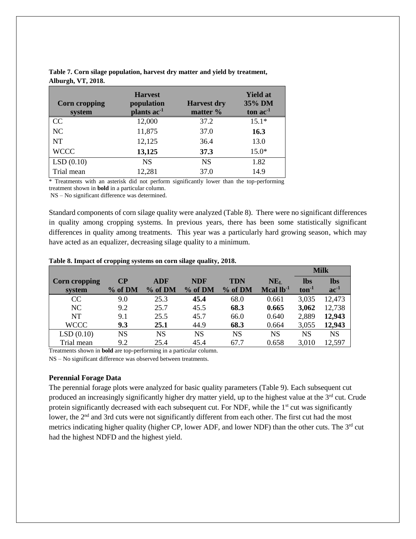| <b>Corn cropping</b><br>system | <b>Harvest</b><br>population<br>plants ac <sup>-1</sup> | <b>Harvest dry</b><br>matter % | <b>Yield at</b><br>35% DM<br>ton $ac^{-1}$ |
|--------------------------------|---------------------------------------------------------|--------------------------------|--------------------------------------------|
| CC                             | 12,000                                                  | 37.2                           | $15.1*$                                    |
| NC                             | 11,875                                                  | 37.0                           | 16.3                                       |
| <b>NT</b>                      | 12,125                                                  | 36.4                           | 13.0                                       |
| <b>WCCC</b>                    | 13,125                                                  | 37.3                           | $15.0*$                                    |
| LSD(0.10)                      | <b>NS</b>                                               | <b>NS</b>                      | 1.82                                       |
| Trial mean                     | 12,281                                                  | 37.0                           | 14.9                                       |

**Table 7. Corn silage population, harvest dry matter and yield by treatment, Alburgh, VT, 2018.**

\* Treatments with an asterisk did not perform significantly lower than the top-performing treatment shown in **bold** in a particular column.

NS – No significant difference was determined.

Standard components of corn silage quality were analyzed (Table 8). There were no significant differences in quality among cropping systems. In previous years, there has been some statistically significant differences in quality among treatments. This year was a particularly hard growing season, which may have acted as an equalizer, decreasing silage quality to a minimum.

|               |           |            |            |            |                 |            | <b>Milk</b> |
|---------------|-----------|------------|------------|------------|-----------------|------------|-------------|
| Corn cropping | $\bf CP$  | <b>ADF</b> | <b>NDF</b> | <b>TDN</b> | NE <sub>L</sub> | <b>lbs</b> | lbs         |
| system        | % of DM   | % of DM    | % of DM    | % of DM    | Mcal $lb^{-1}$  | $ton-1$    | $ac^{-1}$   |
| CC            | 9.0       | 25.3       | 45.4       | 68.0       | 0.661           | 3,035      | 12,473      |
| NC            | 9.2       | 25.7       | 45.5       | 68.3       | 0.665           | 3,062      | 12,738      |
| <b>NT</b>     | 9.1       | 25.5       | 45.7       | 66.0       | 0.640           | 2,889      | 12,943      |
| <b>WCCC</b>   | 9.3       | 25.1       | 44.9       | 68.3       | 0.664           | 3,055      | 12,943      |
| LSD(0.10)     | <b>NS</b> | NS         | <b>NS</b>  | <b>NS</b>  | NS              | NS         | <b>NS</b>   |
| Trial mean    | 9.2       | 25.4       | 45.4       | 67.7       | 0.658           | 3,010      | 12,597      |

#### **Table 8. Impact of cropping systems on corn silage quality, 2018.**

Treatments shown in **bold** are top-performing in a particular column.

NS – No significant difference was observed between treatments.

### **Perennial Forage Data**

The perennial forage plots were analyzed for basic quality parameters (Table 9). Each subsequent cut produced an increasingly significantly higher dry matter yield, up to the highest value at the 3<sup>rd</sup> cut. Crude protein significantly decreased with each subsequent cut. For NDF, while the  $1<sup>st</sup>$  cut was significantly lower, the 2<sup>nd</sup> and 3rd cuts were not significantly different from each other. The first cut had the most metrics indicating higher quality (higher CP, lower ADF, and lower NDF) than the other cuts. The 3<sup>rd</sup> cut had the highest NDFD and the highest yield.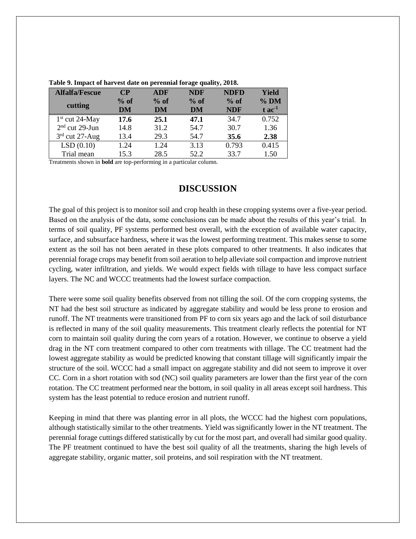| <b>Alfalfa/Fescue</b> | $\bf CP$ | <b>ADF</b> | <b>NDF</b> | <b>NDFD</b> | Yield                |
|-----------------------|----------|------------|------------|-------------|----------------------|
| cutting               | $%$ of   | $%$ of     | $%$ of     | $%$ of      | $%$ DM               |
|                       | DM       | DM         | DM         | <b>NDF</b>  | $t$ ac <sup>-1</sup> |
| $1st$ cut 24-May      | 17.6     | 25.1       | 47.1       | 34.7        | 0.752                |
| $2nd$ cut 29-Jun      | 14.8     | 31.2       | 54.7       | 30.7        | 1.36                 |
| $3rd$ cut 27-Aug      | 13.4     | 29.3       | 54.7       | 35.6        | 2.38                 |
| LSD(0.10)             | 1.24     | 1.24       | 3.13       | 0.793       | 0.415                |
| Trial mean            | 15.3     | 28.5       | 52.2       | 33.7        | 1.50                 |

**Table 9. Impact of harvest date on perennial forage quality, 2018.**

Treatments shown in **bold** are top-performing in a particular column.

## **DISCUSSION**

The goal of this project is to monitor soil and crop health in these cropping systems over a five-year period. Based on the analysis of the data, some conclusions can be made about the results of this year's trial. In terms of soil quality, PF systems performed best overall, with the exception of available water capacity, surface, and subsurface hardness, where it was the lowest performing treatment. This makes sense to some extent as the soil has not been aerated in these plots compared to other treatments. It also indicates that perennial forage crops may benefit from soil aeration to help alleviate soil compaction and improve nutrient cycling, water infiltration, and yields. We would expect fields with tillage to have less compact surface layers. The NC and WCCC treatments had the lowest surface compaction.

There were some soil quality benefits observed from not tilling the soil. Of the corn cropping systems, the NT had the best soil structure as indicated by aggregate stability and would be less prone to erosion and runoff. The NT treatments were transitioned from PF to corn six years ago and the lack of soil disturbance is reflected in many of the soil quality measurements. This treatment clearly reflects the potential for NT corn to maintain soil quality during the corn years of a rotation. However, we continue to observe a yield drag in the NT corn treatment compared to other corn treatments with tillage. The CC treatment had the lowest aggregate stability as would be predicted knowing that constant tillage will significantly impair the structure of the soil. WCCC had a small impact on aggregate stability and did not seem to improve it over CC. Corn in a short rotation with sod (NC) soil quality parameters are lower than the first year of the corn rotation. The CC treatment performed near the bottom, in soil quality in all areas except soil hardness. This system has the least potential to reduce erosion and nutrient runoff.

Keeping in mind that there was planting error in all plots, the WCCC had the highest corn populations, although statistically similar to the other treatments. Yield was significantly lower in the NT treatment. The perennial forage cuttings differed statistically by cut for the most part, and overall had similar good quality. The PF treatment continued to have the best soil quality of all the treatments, sharing the high levels of aggregate stability, organic matter, soil proteins, and soil respiration with the NT treatment.